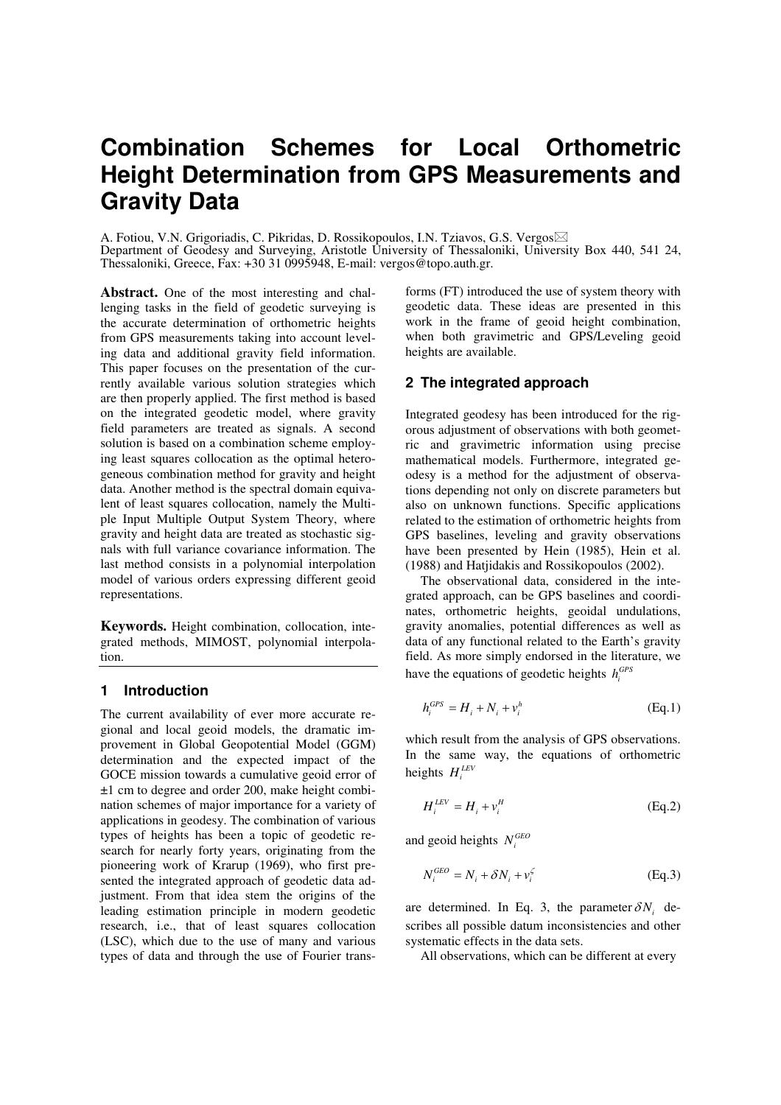# **Combination Schemes for Local Orthometric Height Determination from GPS Measurements and Gravity Data**

A. Fotiou, V.N. Grigoriadis, C. Pikridas, D. Rossikopoulos, I.N. Tziavos, G.S. Vergos Department of Geodesy and Surveying, Aristotle University of Thessaloniki, University Box 440, 541 24, Thessaloniki, Greece, Fax: +30 31 0995948, E-mail: vergos@topo.auth.gr.

**Abstract.** One of the most interesting and challenging tasks in the field of geodetic surveying is the accurate determination of orthometric heights from GPS measurements taking into account leveling data and additional gravity field information. This paper focuses on the presentation of the currently available various solution strategies which are then properly applied. The first method is based on the integrated geodetic model, where gravity field parameters are treated as signals. A second solution is based on a combination scheme employing least squares collocation as the optimal heterogeneous combination method for gravity and height data. Another method is the spectral domain equivalent of least squares collocation, namely the Multiple Input Multiple Output System Theory, where gravity and height data are treated as stochastic signals with full variance covariance information. The last method consists in a polynomial interpolation model of various orders expressing different geoid representations.

**Keywords.** Height combination, collocation, integrated methods, MIMOST, polynomial interpolation.

## **1 Introduction**

The current availability of ever more accurate regional and local geoid models, the dramatic improvement in Global Geopotential Model (GGM) determination and the expected impact of the GOCE mission towards a cumulative geoid error of ±1 cm to degree and order 200, make height combination schemes of major importance for a variety of applications in geodesy. The combination of various types of heights has been a topic of geodetic research for nearly forty years, originating from the pioneering work of Krarup (1969), who first presented the integrated approach of geodetic data adjustment. From that idea stem the origins of the leading estimation principle in modern geodetic research, i.e., that of least squares collocation (LSC), which due to the use of many and various types of data and through the use of Fourier transforms (FT) introduced the use of system theory with geodetic data. These ideas are presented in this work in the frame of geoid height combination, when both gravimetric and GPS/Leveling geoid heights are available.

## **2 The integrated approach**

Integrated geodesy has been introduced for the rigorous adjustment of observations with both geometric and gravimetric information using precise mathematical models. Furthermore, integrated geodesy is a method for the adjustment of observations depending not only on discrete parameters but also on unknown functions. Specific applications related to the estimation of orthometric heights from GPS baselines, leveling and gravity observations have been presented by Hein (1985), Hein et al. (1988) and Hatjidakis and Rossikopoulos (2002).

The observational data, considered in the integrated approach, can be GPS baselines and coordinates, orthometric heights, geoidal undulations, gravity anomalies, potential differences as well as data of any functional related to the Earth's gravity field. As more simply endorsed in the literature, we have the equations of geodetic heights  $h_i^{GPS}$ 

$$
h_i^{GPS} = H_i + N_i + v_i^h \tag{Eq.1}
$$

which result from the analysis of GPS observations. In the same way, the equations of orthometric heights  $H_i^{LEV}$ 

$$
H_i^{LEV} = H_i + v_i^H
$$
 (Eq.2)

and geoid heights  $N_i^{GEO}$ 

$$
N_i^{GEO} = N_i + \delta N_i + v_i^{\zeta}
$$
 (Eq.3)

are determined. In Eq. 3, the parameter  $\delta N_i$  describes all possible datum inconsistencies and other systematic effects in the data sets.

All observations, which can be different at every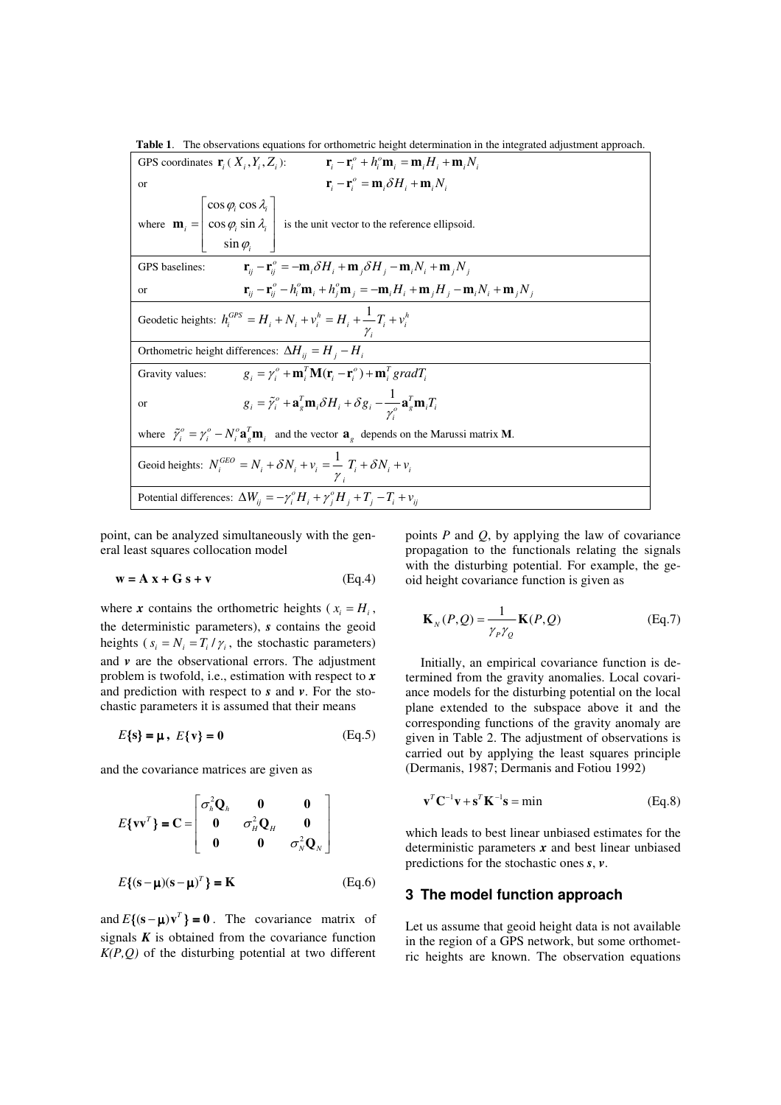**Table 1**. The observations equations for orthometric height determination in the integrated adjustment approach.

| $\mathbf{r}_{i} - \mathbf{r}_{i}^{o} + h_{i}^{o} \mathbf{m}_{i} = \mathbf{m}_{i} H_{i} + \mathbf{m}_{i} N_{i}$<br>GPS coordinates $\mathbf{r}_i$ ( $X_i$ , $Y_i$ , $Z_i$ ):          |  |  |  |
|--------------------------------------------------------------------------------------------------------------------------------------------------------------------------------------|--|--|--|
| $\mathbf{r}_{i} - \mathbf{r}_{i}^{\circ} = \mathbf{m}_{i} \delta H_{i} + \mathbf{m}_{i} N_{i}$<br><b>or</b>                                                                          |  |  |  |
| where $\mathbf{m}_i = \begin{bmatrix} \cos \varphi_i \cos \lambda_i \\ \cos \varphi_i \sin \lambda_i \end{bmatrix}$ is the unit vector to the reference ellipsoid.<br>$\sin \varphi$ |  |  |  |
| $\mathbf{r}_{ii} - \mathbf{r}_{ii}^{\circ} = -\mathbf{m}_i \delta H_i + \mathbf{m}_j \delta H_j - \mathbf{m}_i N_i + \mathbf{m}_j N_j$<br>GPS baselines:                             |  |  |  |
| $\mathbf{r}_{ij} - \mathbf{r}_{ij}^o - h_i^o \mathbf{m}_i + h_j^o \mathbf{m}_j = -\mathbf{m}_i H_i + \mathbf{m}_j H_j - \mathbf{m}_i N_i + \mathbf{m}_j N_j$<br><b>or</b>            |  |  |  |
| Geodetic heights: $h_i^{GPS} = H_i + N_i + v_i^h = H_i + \frac{1}{r_i} + v_i^h$<br>$\gamma_{i}$                                                                                      |  |  |  |
| Orthometric height differences: $\Delta H_{ii} = H_i - H_i$                                                                                                                          |  |  |  |
| $g_i = \gamma_i^o + \mathbf{m}_i^T \mathbf{M}(\mathbf{r}_i - \mathbf{r}_i^o) + \mathbf{m}_i^T gradT_i$<br>Gravity values:                                                            |  |  |  |
| $g_i = \tilde{\gamma}_i^o + \mathbf{a}_g^T \mathbf{m}_i \delta H_i + \delta g_i - \frac{1}{\gamma_o^o} \mathbf{a}_g^T \mathbf{m}_i T_i$<br><sub>or</sub>                             |  |  |  |
| where $\tilde{\gamma}_i^o = \gamma_i^o - N_i^o \mathbf{a}_i^T \mathbf{m}_i$ and the vector $\mathbf{a}_i$ depends on the Marussi matrix <b>M</b> .                                   |  |  |  |
| Geoid heights: $N_i^{GEO} = N_i + \delta N_i + v_i = \frac{1}{i} T_i + \delta N_i + v_i$                                                                                             |  |  |  |
| Potential differences: $\Delta W_{ij} = -\gamma_i^o H_i + \gamma_i^o H_j + T_i - T_i + \nu_{ii}$                                                                                     |  |  |  |

point, can be analyzed simultaneously with the general least squares collocation model

$$
\mathbf{w} = \mathbf{A} \mathbf{x} + \mathbf{G} \mathbf{s} + \mathbf{v} \tag{Eq.4}
$$

where *x* contains the orthometric heights ( $x_i = H_i$ , the deterministic parameters), *s* contains the geoid heights ( $s_i = N_i = T_i / \gamma_i$ , the stochastic parameters) and  $\nu$  are the observational errors. The adjustment problem is twofold, i.e., estimation with respect to *x* and prediction with respect to *s* and *v*. For the stochastic parameters it is assumed that their means

$$
E\{s\} = \mu, \ E\{v\} = 0 \tag{Eq.5}
$$

and the covariance matrices are given as

$$
E\{\mathbf{v}\mathbf{v}^{T}\} = \mathbf{C} = \begin{bmatrix} \sigma_{h}^{2}\mathbf{Q}_{h} & \mathbf{0} & \mathbf{0} \\ \mathbf{0} & \sigma_{H}^{2}\mathbf{Q}_{H} & \mathbf{0} \\ \mathbf{0} & \mathbf{0} & \sigma_{N}^{2}\mathbf{Q}_{N} \end{bmatrix}
$$

$$
E\{(\mathbf{s} - \mathbf{\mu})(\mathbf{s} - \mathbf{\mu})^{T}\} = \mathbf{K}
$$
(Eq.6)

and  $E\{ (\mathbf{s} - \boldsymbol{\mu}) \mathbf{v}^T \} = \mathbf{0}$ . The covariance matrix of signals  $K$  is obtained from the covariance function *K(P,Q)* of the disturbing potential at two different points *P* and *Q*, by applying the law of covariance propagation to the functionals relating the signals with the disturbing potential. For example, the geoid height covariance function is given as

$$
\mathbf{K}_N(P,Q) = \frac{1}{\gamma_P \gamma_Q} \mathbf{K}(P,Q) \tag{Eq.7}
$$

Initially, an empirical covariance function is determined from the gravity anomalies. Local covariance models for the disturbing potential on the local plane extended to the subspace above it and the corresponding functions of the gravity anomaly are given in Table 2. The adjustment of observations is carried out by applying the least squares principle (Dermanis, 1987; Dermanis and Fotiou 1992)

$$
\mathbf{v}^T \mathbf{C}^{-1} \mathbf{v} + \mathbf{s}^T \mathbf{K}^{-1} \mathbf{s} = \min \tag{Eq.8}
$$

which leads to best linear unbiased estimates for the deterministic parameters *x* and best linear unbiased predictions for the stochastic ones *s*, *v*.

### **3 The model function approach**

Let us assume that geoid height data is not available in the region of a GPS network, but some orthometric heights are known. The observation equations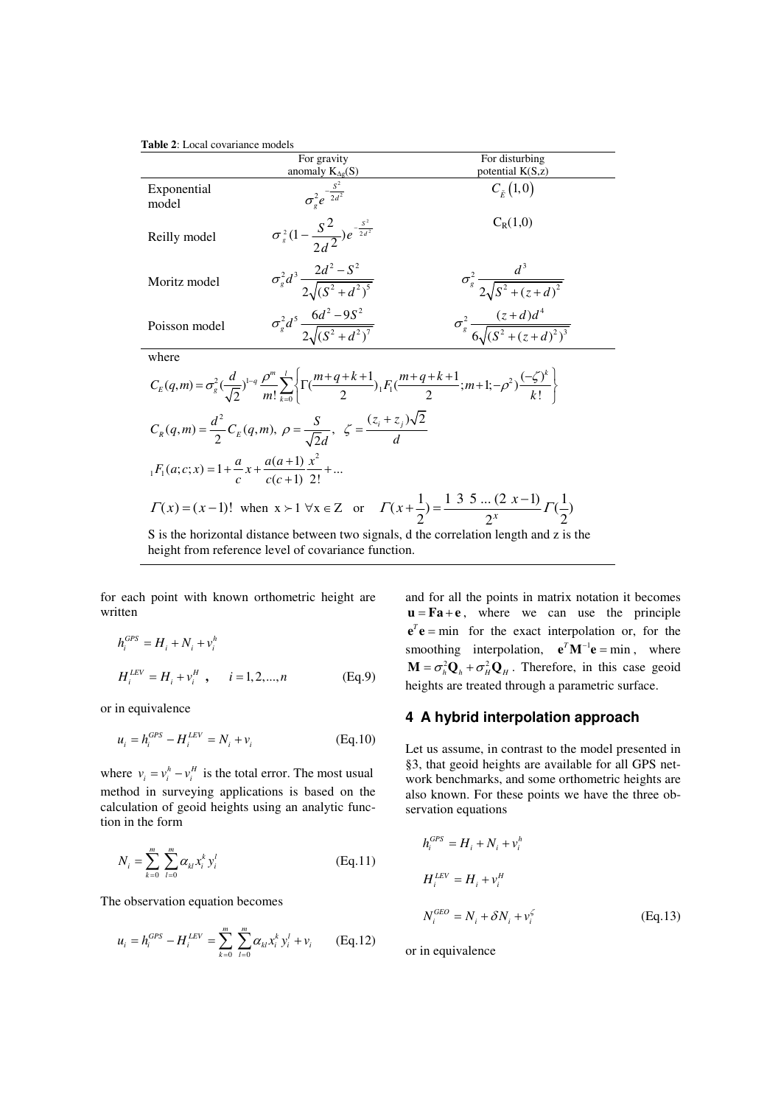**Table 2**: Local covariance models

|                                                                                                                                                                                                                              | For gravity                                                | For disturbing                                        |  |
|------------------------------------------------------------------------------------------------------------------------------------------------------------------------------------------------------------------------------|------------------------------------------------------------|-------------------------------------------------------|--|
|                                                                                                                                                                                                                              | anomaly $K_{\Delta g}(S)$                                  | potential K(S,z)                                      |  |
| Exponential<br>model                                                                                                                                                                                                         | $\sigma^2 e^{-\frac{S^2}{2d^2}}$                           | $C_{\tilde{r}}(1,0)$                                  |  |
| Reilly model                                                                                                                                                                                                                 | $\sigma_s^2(1-\frac{S^2}{2\sigma^2})e^{-\frac{S^2}{2d^2}}$ | $C_R(1,0)$                                            |  |
| Moritz model                                                                                                                                                                                                                 | $\sigma_g^2 d^3 \frac{2d^2 - S^2}{2\sqrt{(S^2 + d^2)^5}}$  | $\sigma_s^2 \frac{d^2}{2\sqrt{S^2 + (z+d)^2}}$        |  |
| Poisson model                                                                                                                                                                                                                | $\sigma_g^2 d^5 \frac{6d^2 - 9S^2}{2\sqrt{(S^2 + d^2)^7}}$ | $\sigma_s^2 \frac{(z+d)d^4}{6\sqrt{(S^2+(z+d)^2)^3}}$ |  |
| where                                                                                                                                                                                                                        |                                                            |                                                       |  |
| $C_E(q,m) = \sigma_s^2 \left(\frac{d}{\sqrt{2}}\right)^{1-q} \frac{\rho^m}{m!} \sum_{k=0}^{l} \left\{ \Gamma\left(\frac{m+q+k+1}{2}\right)_{1} F_1\left(\frac{m+q+k+1}{2};m+1;-\rho^2\right) \frac{(-\zeta)^k}{k!} \right\}$ |                                                            |                                                       |  |
| $C_R(q,m) = \frac{d^2}{2} C_E(q,m), \ \rho = \frac{S}{\sqrt{2}d}, \ \ \zeta = \frac{(z_i + z_j)\sqrt{2}}{d}$                                                                                                                 |                                                            |                                                       |  |
| $_1F_1(a;c;x) = 1 + \frac{a}{c}x + \frac{a(a+1)}{a(a+1)}\frac{x^2}{2!} + $                                                                                                                                                   |                                                            |                                                       |  |
| $\Gamma(x) = (x-1)!$ when $x > 1$ $\forall x \in Z$ or $\Gamma(x+\frac{1}{2}) = \frac{1 \cdot 3 \cdot 3 \cdot  (2 \cdot x-1)}{2^x} \Gamma(\frac{1}{2})$                                                                      |                                                            |                                                       |  |
| ta dha thaainnachd disdemachdadeeraan deus aigsada - dubha aansaladan tanadh an dhe is dha                                                                                                                                   |                                                            |                                                       |  |

S is the horizontal distance between two signals, d the correlation length and z is the height from reference level of covariance function.

for each point with known orthometric height are written

$$
h_i^{CPS} = H_i + N_i + v_i^h
$$
  

$$
H_i^{LEV} = H_i + v_i^H, \qquad i = 1, 2, ..., n
$$
 (Eq.9)

or in equivalence

$$
u_i = h_i^{GPS} - H_i^{LEV} = N_i + v_i
$$
 (Eq.10)

where  $v_i = v_i^h - v_i^H$  is the total error. The most usual method in surveying applications is based on the calculation of geoid heights using an analytic function in the form

$$
N_{i} = \sum_{k=0}^{m} \sum_{l=0}^{m} \alpha_{kl} x_{i}^{k} y_{i}^{l}
$$
 (Eq.11)

The observation equation becomes

$$
u_i = h_i^{GPS} - H_i^{LEV} = \sum_{k=0}^{m} \sum_{l=0}^{m} \alpha_{kl} x_i^k y_i^l + v_i \qquad (Eq.12)
$$

and for all the points in matrix notation it becomes  $\mathbf{u} = \mathbf{F}\mathbf{a} + \mathbf{e}$ , where we can use the principle  $e^{\tau}$ **e** = min for the exact interpolation or, for the smoothing interpolation,  $e^T M^{-1} e = \min$ , where  $\mathbf{M} = \sigma_h^2 \mathbf{Q}_h + \sigma_H^2 \mathbf{Q}_H$ . Therefore, in this case geoid heights are treated through a parametric surface.

## **4 A hybrid interpolation approach**

Let us assume, in contrast to the model presented in §3, that geoid heights are available for all GPS network benchmarks, and some orthometric heights are also known. For these points we have the three observation equations

$$
h_i^{GBS} = H_i + N_i + v_i^h
$$
  
\n
$$
H_i^{LEV} = H_i + v_i^H
$$
  
\n
$$
N_i^{GEO} = N_i + \delta N_i + v_i^{\zeta}
$$
 (Eq.13)

or in equivalence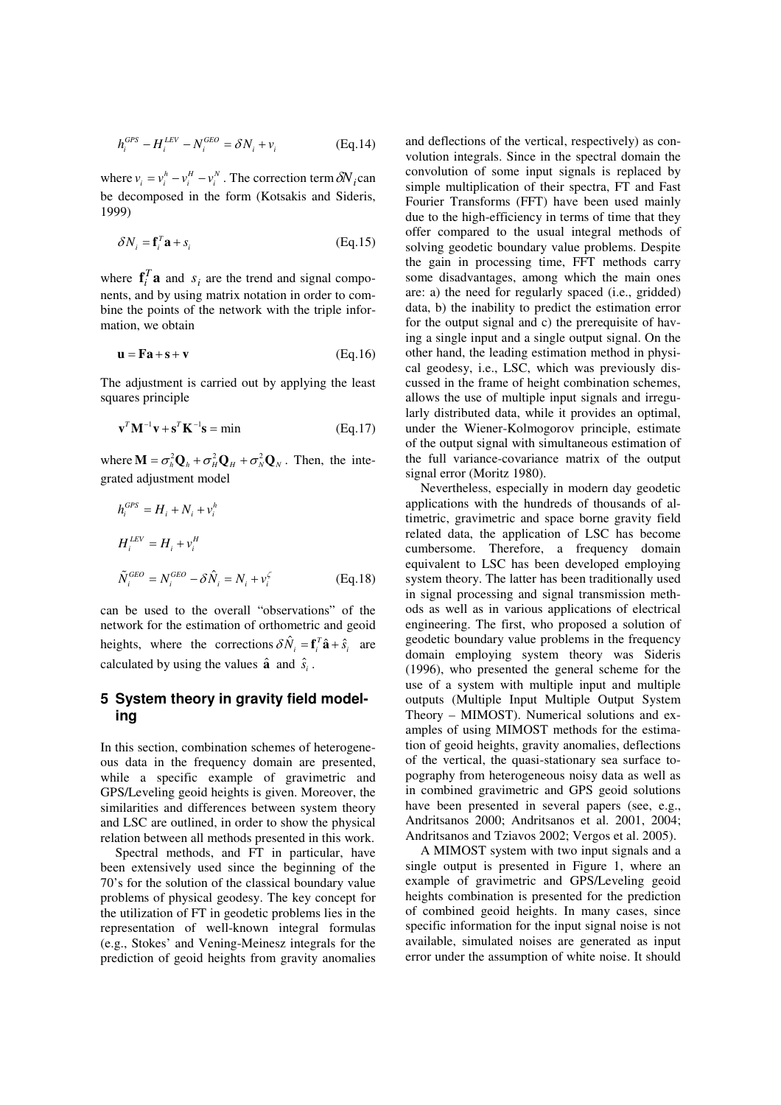$$
h_i^{GPS} - H_i^{LEV} - N_i^{ GEO} = \delta N_i + v_i
$$
 (Eq.14)

where  $v_i = v_i^h - v_i^h - v_i^v$ . The correction term  $\delta N_i$  can be decomposed in the form (Kotsakis and Sideris, 1999)

$$
\delta N_i = \mathbf{f}_i^T \mathbf{a} + s_i \tag{Eq.15}
$$

where  $\mathbf{f}_i^T \mathbf{a}$  and  $s_i$  are the trend and signal components, and by using matrix notation in order to combine the points of the network with the triple information, we obtain

$$
\mathbf{u} = \mathbf{F}\mathbf{a} + \mathbf{s} + \mathbf{v} \tag{Eq.16}
$$

The adjustment is carried out by applying the least squares principle

$$
\mathbf{v}^T \mathbf{M}^{-1} \mathbf{v} + \mathbf{s}^T \mathbf{K}^{-1} \mathbf{s} = \min \tag{Eq.17}
$$

where  $\mathbf{M} = \sigma_h^2 \mathbf{Q}_h + \sigma_H^2 \mathbf{Q}_H + \sigma_N^2 \mathbf{Q}_N$ . Then, the integrated adjustment model

$$
h_i^{GBS} = H_i + N_i + v_i^h
$$
  
\n
$$
H_i^{LEV} = H_i + v_i^H
$$
  
\n
$$
\tilde{N}_i^{GEO} = N_i^{GEO} - \delta \hat{N}_i = N_i + v_i^{\zeta}
$$
 (Eq.18)

can be used to the overall "observations" of the network for the estimation of orthometric and geoid heights, where the corrections  $\delta \hat{N}_i = \mathbf{f}_i^T \hat{\mathbf{a}} + \hat{s}_i$  are calculated by using the values  $\hat{\mathbf{a}}$  and  $\hat{s}_i$ .

## **5 System theory in gravity field modeling**

In this section, combination schemes of heterogeneous data in the frequency domain are presented, while a specific example of gravimetric and GPS/Leveling geoid heights is given. Moreover, the similarities and differences between system theory and LSC are outlined, in order to show the physical relation between all methods presented in this work.

Spectral methods, and FT in particular, have been extensively used since the beginning of the 70's for the solution of the classical boundary value problems of physical geodesy. The key concept for the utilization of FT in geodetic problems lies in the representation of well-known integral formulas (e.g., Stokes' and Vening-Meinesz integrals for the prediction of geoid heights from gravity anomalies

and deflections of the vertical, respectively) as convolution integrals. Since in the spectral domain the convolution of some input signals is replaced by simple multiplication of their spectra, FT and Fast Fourier Transforms (FFT) have been used mainly due to the high-efficiency in terms of time that they offer compared to the usual integral methods of solving geodetic boundary value problems. Despite the gain in processing time, FFT methods carry some disadvantages, among which the main ones are: a) the need for regularly spaced (i.e., gridded) data, b) the inability to predict the estimation error for the output signal and c) the prerequisite of having a single input and a single output signal. On the other hand, the leading estimation method in physical geodesy, i.e., LSC, which was previously discussed in the frame of height combination schemes, allows the use of multiple input signals and irregularly distributed data, while it provides an optimal, under the Wiener-Kolmogorov principle, estimate of the output signal with simultaneous estimation of the full variance-covariance matrix of the output signal error (Moritz 1980).

Nevertheless, especially in modern day geodetic applications with the hundreds of thousands of altimetric, gravimetric and space borne gravity field related data, the application of LSC has become cumbersome. Therefore, a frequency domain equivalent to LSC has been developed employing system theory. The latter has been traditionally used in signal processing and signal transmission methods as well as in various applications of electrical engineering. The first, who proposed a solution of geodetic boundary value problems in the frequency domain employing system theory was Sideris (1996), who presented the general scheme for the use of a system with multiple input and multiple outputs (Multiple Input Multiple Output System Theory – MIMOST). Numerical solutions and examples of using MIMOST methods for the estimation of geoid heights, gravity anomalies, deflections of the vertical, the quasi-stationary sea surface topography from heterogeneous noisy data as well as in combined gravimetric and GPS geoid solutions have been presented in several papers (see, e.g., Andritsanos 2000; Andritsanos et al. 2001, 2004; Andritsanos and Tziavos 2002; Vergos et al. 2005).

A MIMOST system with two input signals and a single output is presented in Figure 1, where an example of gravimetric and GPS/Leveling geoid heights combination is presented for the prediction of combined geoid heights. In many cases, since specific information for the input signal noise is not available, simulated noises are generated as input error under the assumption of white noise. It should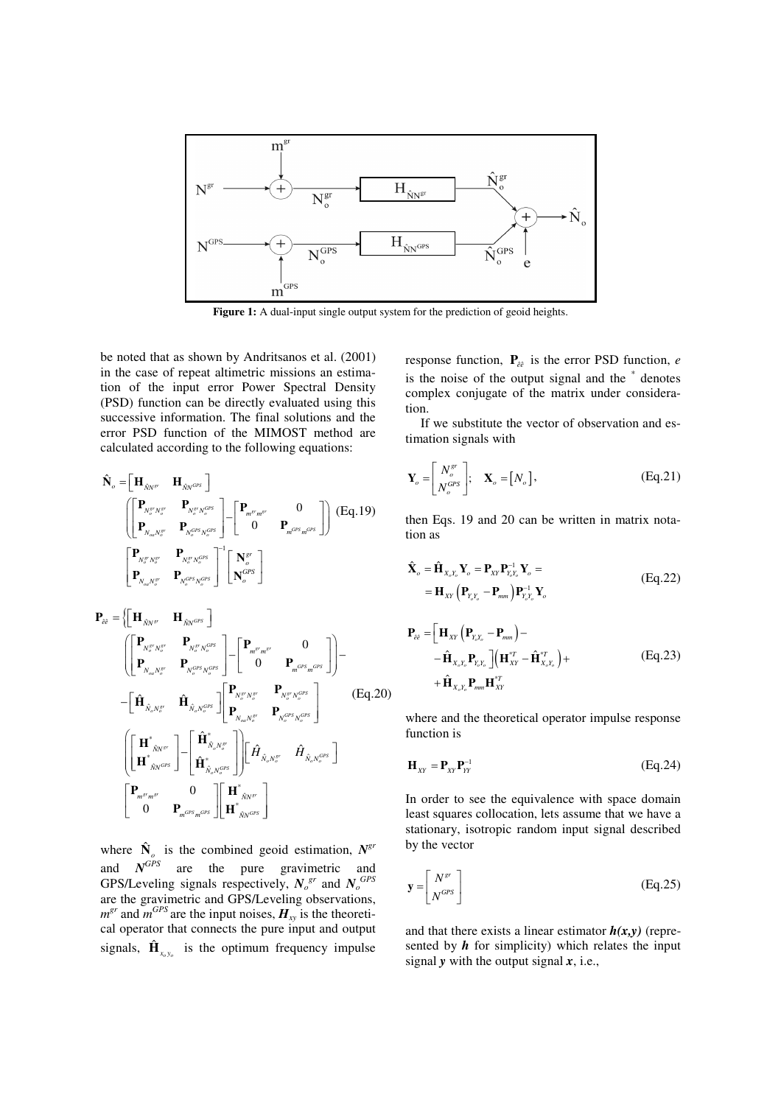

Figure 1: A dual-input single output system for the prediction of geoid heights.

be noted that as shown by Andritsanos et al. (2001) in the case of repeat altimetric missions an estimation of the input error Power Spectral Density (PSD) function can be directly evaluated using this successive information. The final solutions and the error PSD function of the MIMOST method are calculated according to the following equations:

$$
\hat{\mathbf{N}}_{o} = \begin{bmatrix}\mathbf{H}_{\hat{N}N^{sr}} & \mathbf{H}_{\hat{N}N^{GR}}\end{bmatrix} \\ \begin{bmatrix}\begin{bmatrix}\mathbf{P}_{N_{o}^{sr}N_{o}^{sr}} & \mathbf{P}_{N_{o}^{sr}N_{o}^{GR}} \\ \mathbf{P}_{N_{o}N_{o}^{sr}} & \mathbf{P}_{N_{o}^{GR}N_{o}^{GR}}\end{bmatrix}\end{bmatrix} - \begin{bmatrix}\begin{bmatrix}\mathbf{P}_{m^{sr}m^{sr}} & 0 \\ 0 & \mathbf{P}_{m^{GR}m^{GR}}\end{bmatrix}\end{bmatrix}\begin{bmatrix}\begin{bmatrix}\mathbf{E}_{\mathbf{q}},\mathbf{19}\end{bmatrix} \\ \begin{bmatrix}\mathbf{P}_{N_{o}^{sr}N_{o}^{sr}} & \mathbf{P}_{N_{o}^{sr}N_{o}^{GR}} \\ \mathbf{P}_{N_{o}uN_{o}^{sr}} & \mathbf{P}_{N_{o}^{GR}N_{o}^{GR}}\end{bmatrix}^{-1} \begin{bmatrix}\mathbf{N}_{o}^{sr} \\ \mathbf{N}_{o}^{GR}\end{bmatrix}\end{bmatrix}
$$

$$
\mathbf{P}_{ee} = \left\{ \begin{bmatrix} \mathbf{H}_{\hat{N}N^{sr}} & \mathbf{H}_{\hat{N}N^{OPS}} \end{bmatrix} \begin{bmatrix} \mathbf{P}_{N_{o}^{sr}N_{o}^{sr}} & \mathbf{P}_{N_{o}^{sr}N_{o}^{or}} \end{bmatrix} - \begin{bmatrix} \mathbf{P}_{m^{sr}m^{sr}} & 0 \\ 0 & \mathbf{P}_{m^{OPS}}m^{OPS} \end{bmatrix} \right\} - \begin{bmatrix} \mathbf{\hat{H}}_{\hat{N}_{o}N_{o}^{sr}} & \mathbf{\hat{H}}_{N_{o}N_{o}^{or}} \end{bmatrix} \begin{bmatrix} \mathbf{P}_{N_{o}^{sr}N_{o}^{sr}} & \mathbf{P}_{N_{o}^{sr}N_{o}^{or}} \end{bmatrix} \begin{bmatrix} \mathbf{P}_{N_{o}^{sr}N_{o}^{sr}} & \mathbf{P}_{N_{o}^{sr}N_{o}^{or}} \end{bmatrix} \begin{bmatrix} \mathbf{F}_{N_{o}N_{o}^{sr}} & \mathbf{P}_{N_{o}^{or}N_{o}^{or}} \end{bmatrix}
$$
\n
$$
\left( \begin{bmatrix} \mathbf{H}^{*}_{\hat{N}N^{sr}} \\ \mathbf{H}^{*}_{\hat{N}N^{or}} \end{bmatrix} - \begin{bmatrix} \hat{\mathbf{H}}^{*}_{\hat{N}_{o}N_{o}^{sr}} \\ \hat{\mathbf{H}}^{*}_{\hat{N}_{o}N_{o}^{or}} \end{bmatrix} \right) \begin{bmatrix} \hat{H}_{\hat{N}_{o}N_{o}^{sr}} & \hat{H}_{\hat{N}_{o}N_{o}^{or}} \end{bmatrix}
$$
\n
$$
\begin{bmatrix} \mathbf{P}_{m^{sr}m^{sr}} & 0 \\ 0 & \mathbf{P}_{m^{OPS}m^{OPS}} \end{bmatrix} \begin{bmatrix} \mathbf{H}^{*}_{\hat{N}N^{sr}} \\ \mathbf{H}^{*}_{\hat{N}N^{or}} \end{bmatrix}
$$

where  $\hat{\mathbf{N}}_o$  is the combined geoid estimation,  $N^{gr}$ and *N*  $N^{GPS}$  are the pure gravimetric and GPS/Leveling signals respectively,  $N_o^{gr}$  and  $N_o^{GPS}$ are the gravimetric and GPS/Leveling observations,  $m^{gr}$  and  $m^{GPS}$  are the input noises,  $H_{xy}$  is the theoretical operator that connects the pure input and output signals,  $\hat{\mathbf{H}}_{x_0, y_0}$  is the optimum frequency impulse

response function,  $P_{\hat{e}\hat{e}}$  is the error PSD function, *e* is the noise of the output signal and the  $*$  denotes complex conjugate of the matrix under consideration.

If we substitute the vector of observation and estimation signals with

$$
\mathbf{Y}_o = \begin{bmatrix} N_o^{gr} \\ N_o^{GPS} \end{bmatrix}; \quad \mathbf{X}_o = [N_o], \tag{Eq.21}
$$

then Eqs. 19 and 20 can be written in matrix notation as

$$
\hat{\mathbf{X}}_{o} = \hat{\mathbf{H}}_{X_{o}Y_{o}} \mathbf{Y}_{o} = \mathbf{P}_{XY} \mathbf{P}_{Y_{o}Y_{o}}^{-1} \mathbf{Y}_{o} = \n= \mathbf{H}_{XY} (\mathbf{P}_{Y_{o}Y_{o}} - \mathbf{P}_{mm}) \mathbf{P}_{Y_{o}Y_{o}}^{-1} \mathbf{Y}_{o}
$$
\n(Eq.22)

$$
\mathbf{P}_{\hat{e}\hat{e}} = \left[\mathbf{H}_{XY} \left(\mathbf{P}_{Y_c Y_c} - \mathbf{P}_{mm}\right) - \right. \\
\left. - \hat{\mathbf{H}}_{X_c Y_c} \mathbf{P}_{Y_c Y_c} \right] \left(\mathbf{H}_{XY}^{*T} - \hat{\mathbf{H}}_{X_c Y_c}^{*T}\right) + \\
+ \hat{\mathbf{H}}_{X_c Y_c} \mathbf{P}_{mm} \mathbf{H}_{XY}^{*T}
$$
\n(Eq.23)

where and the theoretical operator impulse response function is

$$
\mathbf{H}_{XY} = \mathbf{P}_{XY}\mathbf{P}_{YY}^{-1} \tag{Eq.24}
$$

In order to see the equivalence with space domain least squares collocation, lets assume that we have a stationary, isotropic random input signal described by the vector

$$
\mathbf{y} = \begin{bmatrix} N^{sr} \\ N^{GPS} \end{bmatrix} \tag{Eq.25}
$$

and that there exists a linear estimator  $h(x, y)$  (represented by  $h$  for simplicity) which relates the input signal *y* with the output signal *x*, i.e.,